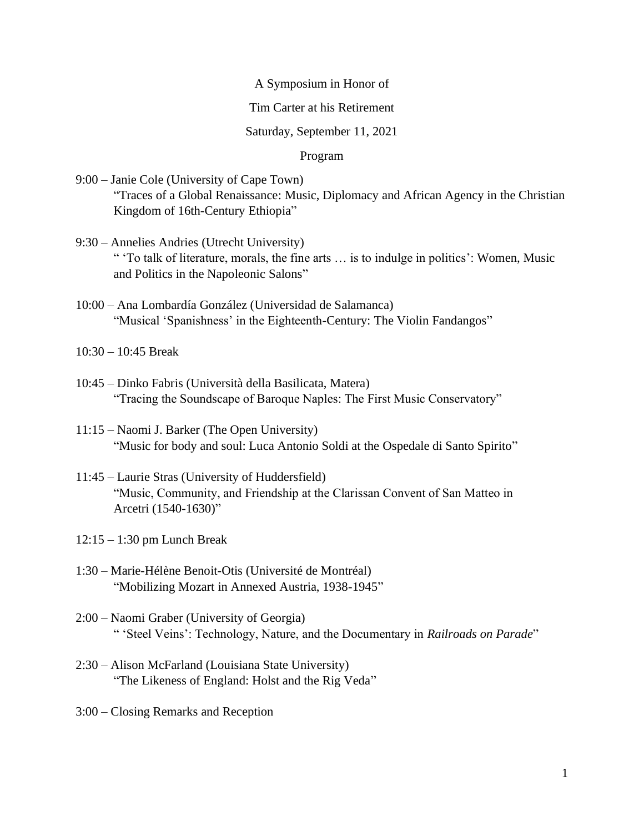# A Symposium in Honor of

## Tim Carter at his Retirement

### Saturday, September 11, 2021

# Program

- 9:00 Janie Cole (University of Cape Town) "Traces of a Global Renaissance: Music, Diplomacy and African Agency in the Christian Kingdom of 16th-Century Ethiopia"
- 9:30 Annelies Andries (Utrecht University) " 'To talk of literature, morals, the fine arts … is to indulge in politics': Women, Music and Politics in the Napoleonic Salons"
- 10:00 Ana Lombardía González (Universidad de Salamanca) "Musical 'Spanishness' in the Eighteenth-Century: The Violin Fandangos"
- 10:30 10:45 Break
- 10:45 Dinko Fabris (Università della Basilicata, Matera) "Tracing the Soundscape of Baroque Naples: The First Music Conservatory"
- 11:15 Naomi J. Barker (The Open University) "Music for body and soul: Luca Antonio Soldi at the Ospedale di Santo Spirito"
- 11:45 Laurie Stras (University of Huddersfield) "Music, Community, and Friendship at the Clarissan Convent of San Matteo in Arcetri (1540-1630)"
- 12:15 1:30 pm Lunch Break
- 1:30 Marie-Hélène Benoit-Otis (Université de Montréal) "Mobilizing Mozart in Annexed Austria, 1938-1945"
- 2:00 Naomi Graber (University of Georgia) " 'Steel Veins': Technology, Nature, and the Documentary in *Railroads on Parade*"
- 2:30 Alison McFarland (Louisiana State University) "The Likeness of England: Holst and the Rig Veda"
- 3:00 Closing Remarks and Reception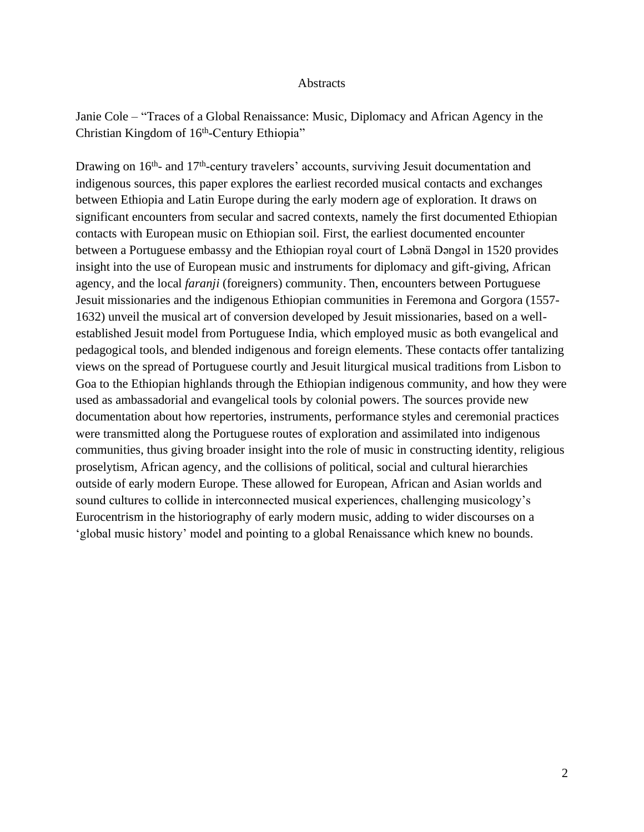#### **Abstracts**

Janie Cole – "Traces of a Global Renaissance: Music, Diplomacy and African Agency in the Christian Kingdom of 16<sup>th</sup>-Century Ethiopia"

Drawing on 16<sup>th</sup>- and 17<sup>th</sup>-century travelers' accounts, surviving Jesuit documentation and indigenous sources, this paper explores the earliest recorded musical contacts and exchanges between Ethiopia and Latin Europe during the early modern age of exploration. It draws on significant encounters from secular and sacred contexts, namely the first documented Ethiopian contacts with European music on Ethiopian soil. First, the earliest documented encounter between a Portuguese embassy and the Ethiopian royal court of Ləbnä Dəngəl in 1520 provides insight into the use of European music and instruments for diplomacy and gift-giving, African agency, and the local *faranji* (foreigners) community. Then, encounters between Portuguese Jesuit missionaries and the indigenous Ethiopian communities in Feremona and Gorgora (1557- 1632) unveil the musical art of conversion developed by Jesuit missionaries, based on a wellestablished Jesuit model from Portuguese India, which employed music as both evangelical and pedagogical tools, and blended indigenous and foreign elements. These contacts offer tantalizing views on the spread of Portuguese courtly and Jesuit liturgical musical traditions from Lisbon to Goa to the Ethiopian highlands through the Ethiopian indigenous community, and how they were used as ambassadorial and evangelical tools by colonial powers. The sources provide new documentation about how repertories, instruments, performance styles and ceremonial practices were transmitted along the Portuguese routes of exploration and assimilated into indigenous communities, thus giving broader insight into the role of music in constructing identity, religious proselytism, African agency, and the collisions of political, social and cultural hierarchies outside of early modern Europe. These allowed for European, African and Asian worlds and sound cultures to collide in interconnected musical experiences, challenging musicology's Eurocentrism in the historiography of early modern music, adding to wider discourses on a 'global music history' model and pointing to a global Renaissance which knew no bounds.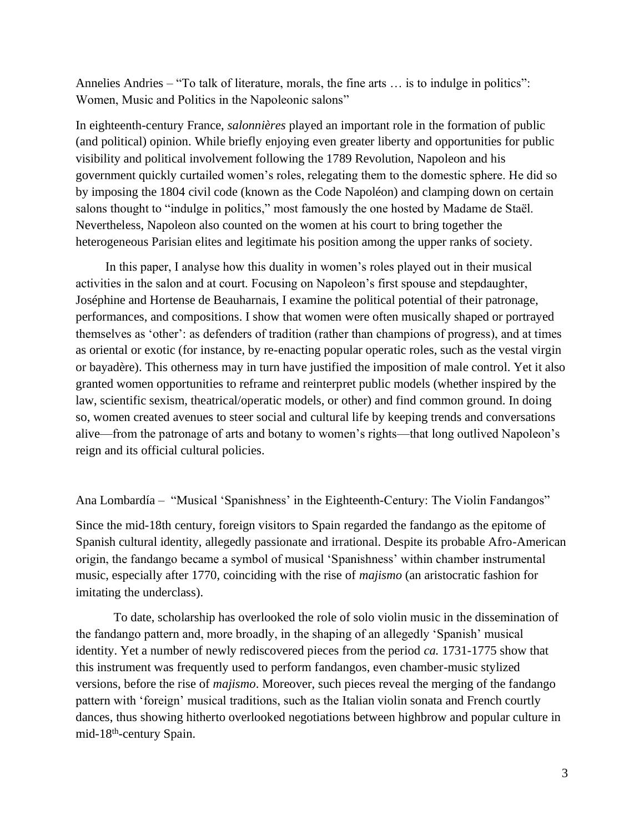Annelies Andries – "To talk of literature, morals, the fine arts … is to indulge in politics": Women, Music and Politics in the Napoleonic salons"

In eighteenth-century France, *salonnières* played an important role in the formation of public (and political) opinion. While briefly enjoying even greater liberty and opportunities for public visibility and political involvement following the 1789 Revolution, Napoleon and his government quickly curtailed women's roles, relegating them to the domestic sphere. He did so by imposing the 1804 civil code (known as the Code Napoléon) and clamping down on certain salons thought to "indulge in politics," most famously the one hosted by Madame de Staël. Nevertheless, Napoleon also counted on the women at his court to bring together the heterogeneous Parisian elites and legitimate his position among the upper ranks of society.

In this paper, I analyse how this duality in women's roles played out in their musical activities in the salon and at court. Focusing on Napoleon's first spouse and stepdaughter, Joséphine and Hortense de Beauharnais, I examine the political potential of their patronage, performances, and compositions. I show that women were often musically shaped or portrayed themselves as 'other': as defenders of tradition (rather than champions of progress), and at times as oriental or exotic (for instance, by re-enacting popular operatic roles, such as the vestal virgin or bayadère). This otherness may in turn have justified the imposition of male control. Yet it also granted women opportunities to reframe and reinterpret public models (whether inspired by the law, scientific sexism, theatrical/operatic models, or other) and find common ground. In doing so, women created avenues to steer social and cultural life by keeping trends and conversations alive—from the patronage of arts and botany to women's rights—that long outlived Napoleon's reign and its official cultural policies.

## Ana Lombardía – "Musical 'Spanishness' in the Eighteenth-Century: The Violin Fandangos"

Since the mid-18th century, foreign visitors to Spain regarded the fandango as the epitome of Spanish cultural identity, allegedly passionate and irrational. Despite its probable Afro-American origin, the fandango became a symbol of musical 'Spanishness' within chamber instrumental music, especially after 1770, coinciding with the rise of *majismo* (an aristocratic fashion for imitating the underclass).

To date, scholarship has overlooked the role of solo violin music in the dissemination of the fandango pattern and, more broadly, in the shaping of an allegedly 'Spanish' musical identity. Yet a number of newly rediscovered pieces from the period *ca.* 1731-1775 show that this instrument was frequently used to perform fandangos, even chamber-music stylized versions, before the rise of *majismo*. Moreover, such pieces reveal the merging of the fandango pattern with 'foreign' musical traditions, such as the Italian violin sonata and French courtly dances, thus showing hitherto overlooked negotiations between highbrow and popular culture in mid-18<sup>th</sup>-century Spain.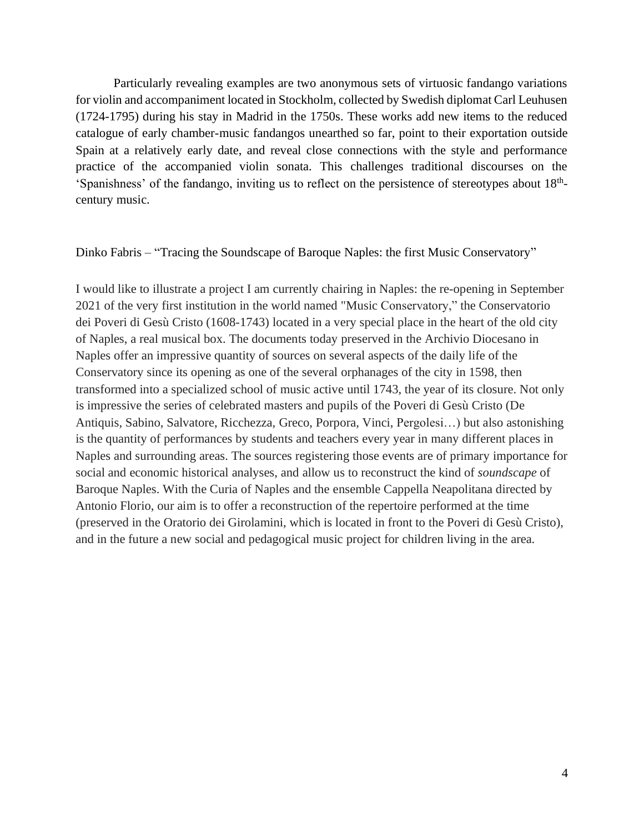Particularly revealing examples are two anonymous sets of virtuosic fandango variations for violin and accompaniment located in Stockholm, collected by Swedish diplomat Carl Leuhusen (1724-1795) during his stay in Madrid in the 1750s. These works add new items to the reduced catalogue of early chamber-music fandangos unearthed so far, point to their exportation outside Spain at a relatively early date, and reveal close connections with the style and performance practice of the accompanied violin sonata. This challenges traditional discourses on the 'Spanishness' of the fandango, inviting us to reflect on the persistence of stereotypes about 18<sup>th</sup>century music.

Dinko Fabris – "Tracing the Soundscape of Baroque Naples: the first Music Conservatory"

I would like to illustrate a project I am currently chairing in Naples: the re-opening in September 2021 of the very first institution in the world named "Music Conservatory," the Conservatorio dei Poveri di Gesù Cristo (1608-1743) located in a very special place in the heart of the old city of Naples, a real musical box. The documents today preserved in the Archivio Diocesano in Naples offer an impressive quantity of sources on several aspects of the daily life of the Conservatory since its opening as one of the several orphanages of the city in 1598, then transformed into a specialized school of music active until 1743, the year of its closure. Not only is impressive the series of celebrated masters and pupils of the Poveri di Gesù Cristo (De Antiquis, Sabino, Salvatore, Ricchezza, Greco, Porpora, Vinci, Pergolesi…) but also astonishing is the quantity of performances by students and teachers every year in many different places in Naples and surrounding areas. The sources registering those events are of primary importance for social and economic historical analyses, and allow us to reconstruct the kind of *soundscape* of Baroque Naples. With the Curia of Naples and the ensemble Cappella Neapolitana directed by Antonio Florio, our aim is to offer a reconstruction of the repertoire performed at the time (preserved in the Oratorio dei Girolamini, which is located in front to the Poveri di Gesù Cristo), and in the future a new social and pedagogical music project for children living in the area.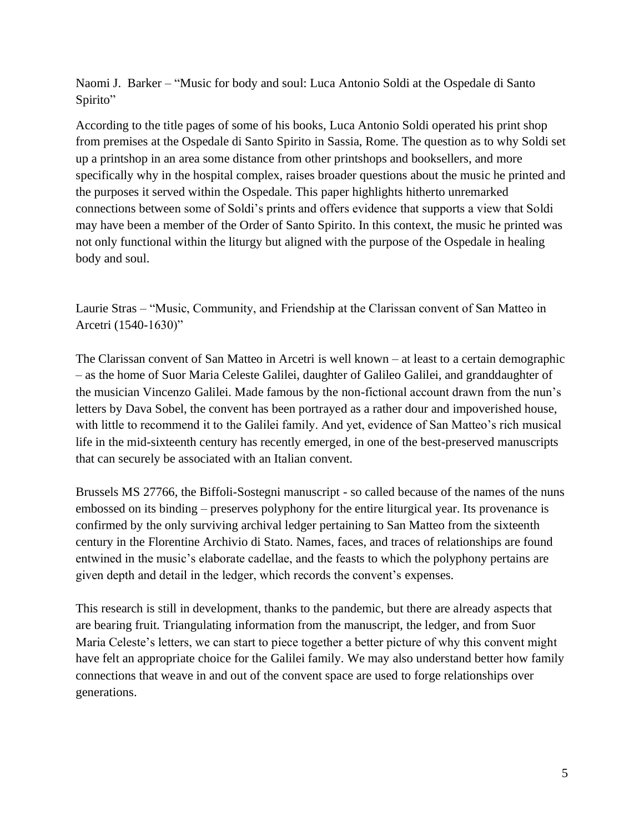Naomi J. Barker – "Music for body and soul: Luca Antonio Soldi at the Ospedale di Santo Spirito"

According to the title pages of some of his books, Luca Antonio Soldi operated his print shop from premises at the Ospedale di Santo Spirito in Sassia, Rome. The question as to why Soldi set up a printshop in an area some distance from other printshops and booksellers, and more specifically why in the hospital complex, raises broader questions about the music he printed and the purposes it served within the Ospedale. This paper highlights hitherto unremarked connections between some of Soldi's prints and offers evidence that supports a view that Soldi may have been a member of the Order of Santo Spirito. In this context, the music he printed was not only functional within the liturgy but aligned with the purpose of the Ospedale in healing body and soul.

Laurie Stras – "Music, Community, and Friendship at the Clarissan convent of San Matteo in Arcetri (1540-1630)"

The Clarissan convent of San Matteo in Arcetri is well known – at least to a certain demographic – as the home of Suor Maria Celeste Galilei, daughter of Galileo Galilei, and granddaughter of the musician Vincenzo Galilei. Made famous by the non-fictional account drawn from the nun's letters by Dava Sobel, the convent has been portrayed as a rather dour and impoverished house, with little to recommend it to the Galilei family. And yet, evidence of San Matteo's rich musical life in the mid-sixteenth century has recently emerged, in one of the best-preserved manuscripts that can securely be associated with an Italian convent.

Brussels MS 27766, the Biffoli-Sostegni manuscript - so called because of the names of the nuns embossed on its binding – preserves polyphony for the entire liturgical year. Its provenance is confirmed by the only surviving archival ledger pertaining to San Matteo from the sixteenth century in the Florentine Archivio di Stato. Names, faces, and traces of relationships are found entwined in the music's elaborate cadellae, and the feasts to which the polyphony pertains are given depth and detail in the ledger, which records the convent's expenses.

This research is still in development, thanks to the pandemic, but there are already aspects that are bearing fruit. Triangulating information from the manuscript, the ledger, and from Suor Maria Celeste's letters, we can start to piece together a better picture of why this convent might have felt an appropriate choice for the Galilei family. We may also understand better how family connections that weave in and out of the convent space are used to forge relationships over generations.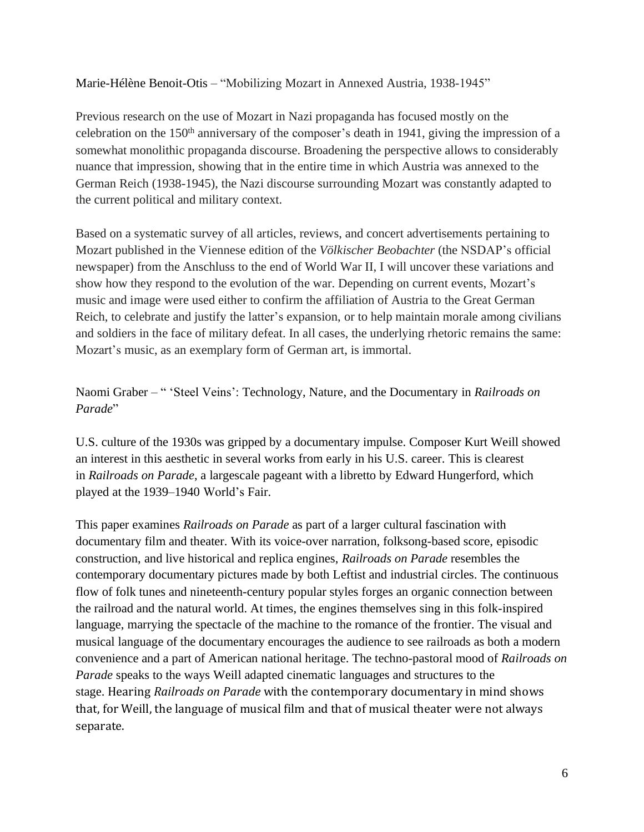Marie-Hélène Benoit-Otis – "Mobilizing Mozart in Annexed Austria, 1938-1945"

Previous research on the use of Mozart in Nazi propaganda has focused mostly on the celebration on the 150th anniversary of the composer's death in 1941, giving the impression of a somewhat monolithic propaganda discourse. Broadening the perspective allows to considerably nuance that impression, showing that in the entire time in which Austria was annexed to the German Reich (1938-1945), the Nazi discourse surrounding Mozart was constantly adapted to the current political and military context.

Based on a systematic survey of all articles, reviews, and concert advertisements pertaining to Mozart published in the Viennese edition of the *Völkischer Beobachter* (the NSDAP's official newspaper) from the Anschluss to the end of World War II, I will uncover these variations and show how they respond to the evolution of the war. Depending on current events, Mozart's music and image were used either to confirm the affiliation of Austria to the Great German Reich, to celebrate and justify the latter's expansion, or to help maintain morale among civilians and soldiers in the face of military defeat. In all cases, the underlying rhetoric remains the same: Mozart's music, as an exemplary form of German art, is immortal.

Naomi Graber – " 'Steel Veins': Technology, Nature, and the Documentary in *Railroads on Parade*"

U.S. culture of the 1930s was gripped by a documentary impulse. Composer Kurt Weill showed an interest in this aesthetic in several works from early in his U.S. career. This is clearest in *Railroads on Parade*, a largescale pageant with a libretto by Edward Hungerford, which played at the 1939–1940 World's Fair.

This paper examines *Railroads on Parade* as part of a larger cultural fascination with documentary film and theater. With its voice-over narration, folksong-based score, episodic construction, and live historical and replica engines, *Railroads on Parade* resembles the contemporary documentary pictures made by both Leftist and industrial circles. The continuous flow of folk tunes and nineteenth-century popular styles forges an organic connection between the railroad and the natural world. At times, the engines themselves sing in this folk-inspired language, marrying the spectacle of the machine to the romance of the frontier. The visual and musical language of the documentary encourages the audience to see railroads as both a modern convenience and a part of American national heritage. The techno-pastoral mood of *Railroads on Parade* speaks to the ways Weill adapted cinematic languages and structures to the stage. Hearing *Railroads on Parade* with the contemporary documentary in mind shows that, for Weill, the language of musical film and that of musical theater were not always separate.